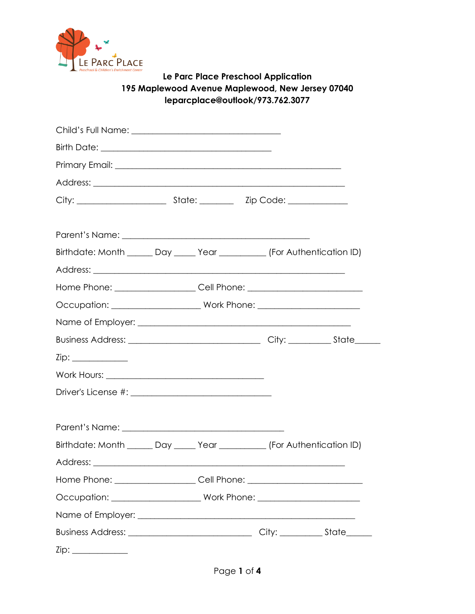

# **Le Parc Place Preschool Application 195 Maplewood Avenue Maplewood, New Jersey 07040 [leparcplace@outlook/973.762.3077](mailto:leparcplace@outlook/973.762.3077)**

| Birthdate: Month ______ Day _____ Year __________ (For Authentication ID)        |  |  |  |
|----------------------------------------------------------------------------------|--|--|--|
|                                                                                  |  |  |  |
| Home Phone: _____________________Cell Phone: ___________________________________ |  |  |  |
|                                                                                  |  |  |  |
|                                                                                  |  |  |  |
|                                                                                  |  |  |  |
|                                                                                  |  |  |  |
|                                                                                  |  |  |  |
|                                                                                  |  |  |  |
|                                                                                  |  |  |  |
|                                                                                  |  |  |  |
| Birthdate: Month ______ Day _____ Year __________ (For Authentication ID)        |  |  |  |
|                                                                                  |  |  |  |
| Home Phone: _____________________Cell Phone: ___________________________________ |  |  |  |
|                                                                                  |  |  |  |
|                                                                                  |  |  |  |
|                                                                                  |  |  |  |
|                                                                                  |  |  |  |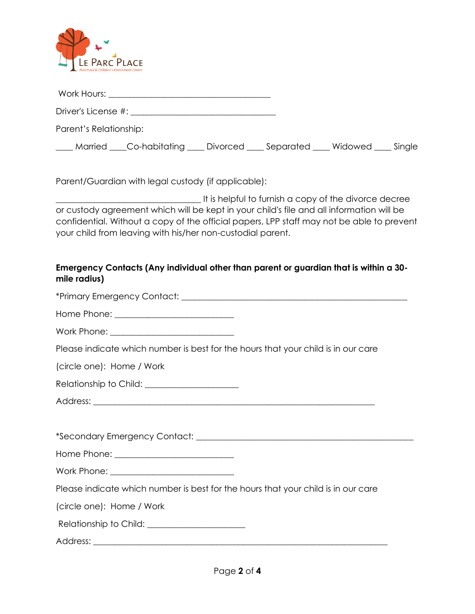

Work Hours: \_\_\_\_\_\_\_\_\_\_\_\_\_\_\_\_\_\_\_\_\_\_\_\_\_\_\_\_\_\_\_\_\_\_\_\_\_\_

Driver's License #: \_\_\_\_\_\_\_\_\_\_\_\_\_\_\_\_\_\_\_\_\_\_\_\_\_\_\_\_\_\_\_\_\_\_

Parent's Relationship:

\_\_\_\_ Married \_\_\_\_Co-habitating \_\_\_\_ Divorced \_\_\_\_ Separated \_\_\_\_ Widowed \_\_\_\_ Single

Parent/Guardian with legal custody (if applicable):

\_\_\_\_\_\_\_\_\_\_\_\_\_\_\_\_\_\_\_\_\_\_\_\_\_\_\_\_\_\_\_\_\_\_ It is helpful to furnish a copy of the divorce decree or custody agreement which will be kept in your child's file and all information will be confidential. Without a copy of the official papers, LPP staff may not be able to prevent your child from leaving with his/her non-custodial parent.

## **Emergency Contacts (Any individual other than parent or guardian that is within a 30 mile radius)**

| Home Phone: ____________________________                                          |  |
|-----------------------------------------------------------------------------------|--|
| Work Phone: _____________________________                                         |  |
| Please indicate which number is best for the hours that your child is in our care |  |
| (circle one): Home / Work                                                         |  |
|                                                                                   |  |
|                                                                                   |  |
|                                                                                   |  |
|                                                                                   |  |
|                                                                                   |  |
|                                                                                   |  |
| Please indicate which number is best for the hours that your child is in our care |  |
| (circle one): Home / Work                                                         |  |
| Relationship to Child: _______________________                                    |  |
|                                                                                   |  |
|                                                                                   |  |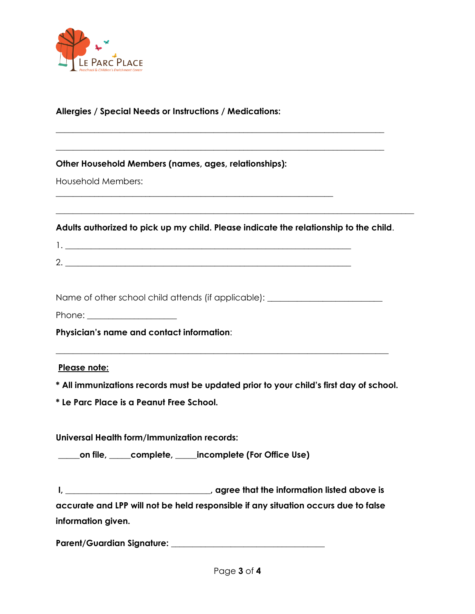

#### **Allergies / Special Needs or Instructions / Medications:**

**Other Household Members (names, ages, relationships):** 

\_\_\_\_\_\_\_\_\_\_\_\_\_\_\_\_\_\_\_\_\_\_\_\_\_\_\_\_\_\_\_\_\_\_\_\_\_\_\_\_\_\_\_\_\_\_\_\_\_\_\_\_\_\_\_\_\_\_\_\_\_\_\_\_\_

Household Members:

**Adults authorized to pick up my child. Please indicate the relationship to the child**.

\_\_\_\_\_\_\_\_\_\_\_\_\_\_\_\_\_\_\_\_\_\_\_\_\_\_\_\_\_\_\_\_\_\_\_\_\_\_\_\_\_\_\_\_\_\_\_\_\_\_\_\_\_\_\_\_\_\_\_\_\_\_\_\_\_\_\_\_\_\_\_\_\_\_\_\_\_\_\_\_\_\_\_\_

**\_\_\_\_\_\_\_\_\_\_\_\_\_\_\_\_\_\_\_\_\_\_\_\_\_\_\_\_\_\_\_\_\_\_\_\_\_\_\_\_\_\_\_\_\_\_\_\_\_\_\_\_\_\_\_\_\_\_\_\_\_\_\_\_\_\_\_\_\_\_\_\_\_\_\_\_\_**

**\_\_\_\_\_\_\_\_\_\_\_\_\_\_\_\_\_\_\_\_\_\_\_\_\_\_\_\_\_\_\_\_\_\_\_\_\_\_\_\_\_\_\_\_\_\_\_\_\_\_\_\_\_\_\_\_\_\_\_\_\_\_\_\_\_\_\_\_\_\_\_\_\_\_\_\_\_**

1. \_\_\_\_\_\_\_\_\_\_\_\_\_\_\_\_\_\_\_\_\_\_\_\_\_\_\_\_\_\_\_\_\_\_\_\_\_\_\_\_\_\_\_\_\_\_\_\_\_\_\_\_\_\_\_\_\_\_\_\_\_\_\_\_\_\_\_ 2. \_\_\_\_\_\_\_\_\_\_\_\_\_\_\_\_\_\_\_\_\_\_\_\_\_\_\_\_\_\_\_\_\_\_\_\_\_\_\_\_\_\_\_\_\_\_\_\_\_\_\_\_\_\_\_\_\_\_\_\_\_\_\_\_\_\_\_

Name of other school child attends (if applicable): \_\_\_\_\_\_\_\_\_\_\_\_\_\_\_\_\_\_\_\_\_\_\_\_\_\_\_\_

Phone: \_\_\_\_\_\_\_\_\_\_\_\_\_\_\_\_\_\_\_\_\_

**Physician's name and contact information**:

#### **Please note:**

**\* All immunizations records must be updated prior to your child's first day of school.** 

\_\_\_\_\_\_\_\_\_\_\_\_\_\_\_\_\_\_\_\_\_\_\_\_\_\_\_\_\_\_\_\_\_\_\_\_\_\_\_\_\_\_\_\_\_\_\_\_\_\_\_\_\_\_\_\_\_\_\_\_\_\_\_\_\_\_\_\_\_\_\_\_\_\_\_\_\_\_

**\* Le Parc Place is a Peanut Free School.** 

**Universal Health form/Immunization records:** 

**\_\_\_\_\_on file, \_\_\_\_\_complete, \_\_\_\_\_incomplete (For Office Use)** 

**I, \_\_\_\_\_\_\_\_\_\_\_\_\_\_\_\_\_\_\_\_\_\_\_\_\_\_\_\_\_\_\_\_\_\_, agree that the information listed above is accurate and LPP will not be held responsible if any situation occurs due to false information given.** 

**Parent/Guardian Signature: \_\_\_\_\_\_\_\_\_\_\_\_\_\_\_\_\_\_\_\_\_\_\_\_\_\_\_\_\_\_\_\_\_\_\_\_**